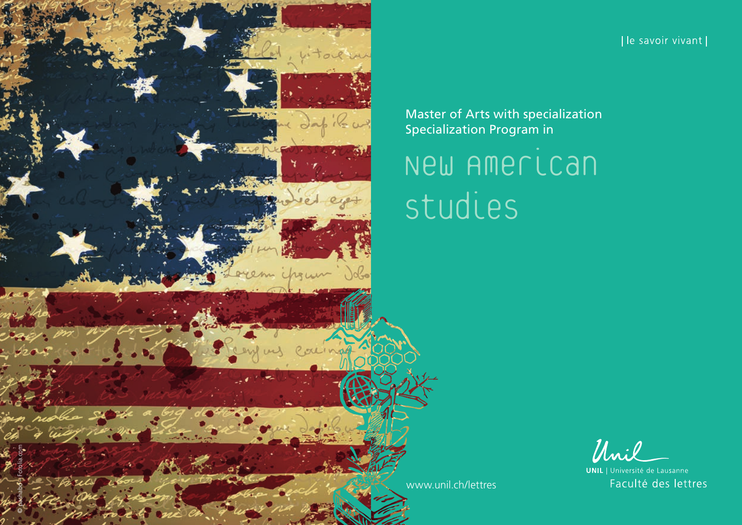

[le savoir vivant]

Master of Arts with specialization Specialization Program in

# New American Studies

Unil

**UNIL** | Université de Lausanne Faculté des lettres

[www.unil.ch/lettres](http://www.unil.ch/lettres)